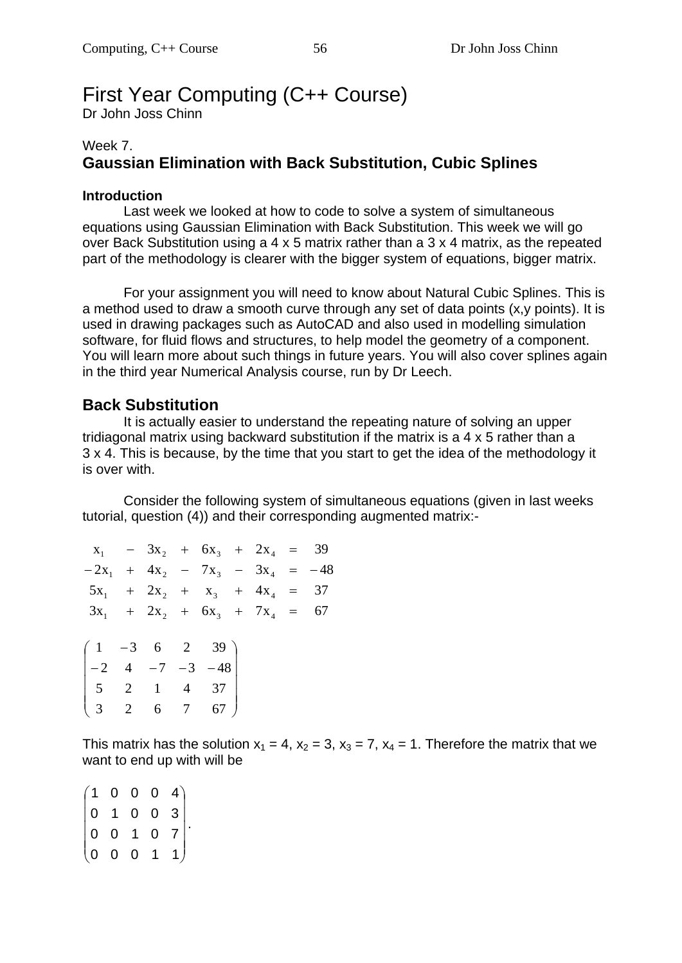# First Year Computing (C++ Course)

Dr John Joss Chinn

## Week 7. **Gaussian Elimination with Back Substitution, Cubic Splines**

#### **Introduction**

Last week we looked at how to code to solve a system of simultaneous equations using Gaussian Elimination with Back Substitution. This week we will go over Back Substitution using a 4 x 5 matrix rather than a 3 x 4 matrix, as the repeated part of the methodology is clearer with the bigger system of equations, bigger matrix.

For your assignment you will need to know about Natural Cubic Splines. This is a method used to draw a smooth curve through any set of data points (x,y points). It is used in drawing packages such as AutoCAD and also used in modelling simulation software, for fluid flows and structures, to help model the geometry of a component. You will learn more about such things in future years. You will also cover splines again in the third year Numerical Analysis course, run by Dr Leech.

## **Back Substitution**

It is actually easier to understand the repeating nature of solving an upper tridiagonal matrix using backward substitution if the matrix is a 4 x 5 rather than a 3 x 4. This is because, by the time that you start to get the idea of the methodology it is over with.

Consider the following system of simultaneous equations (given in last weeks tutorial, question (4)) and their corresponding augmented matrix:-

| $x_1$ – $3x_2$ + $6x_3$ + $2x_4$ = 39                  |  |  |  |  |
|--------------------------------------------------------|--|--|--|--|
| $-2x_1 + 4x_2 - 7x_3 - 3x_4 = -48$                     |  |  |  |  |
| $5x_1 + 2x_2 + x_3 + 4x_4 = 37$                        |  |  |  |  |
| $3x_1$ + $2x_2$ + $6x_3$ + $7x_4$ = 67                 |  |  |  |  |
|                                                        |  |  |  |  |
| $(1 -3 6 2 39)$                                        |  |  |  |  |
| $\begin{vmatrix} -2 & 4 & -7 & -3 & -48 \end{vmatrix}$ |  |  |  |  |
| $\begin{vmatrix} 5 & 2 & 1 & 4 & 37 \end{vmatrix}$     |  |  |  |  |
| $\begin{pmatrix} 3 & 2 & 6 & 7 & 67 \end{pmatrix}$     |  |  |  |  |

This matrix has the solution  $x_1 = 4$ ,  $x_2 = 3$ ,  $x_3 = 7$ ,  $x_4 = 1$ . Therefore the matrix that we want to end up with will be

 $\begin{pmatrix} 0 & 0 & 0 & 1 & 1 \end{pmatrix}$  $\overline{\phantom{a}}$  $\overline{\phantom{a}}$  $\overline{\phantom{a}}$  $\overline{\phantom{a}}$  $1 \t0 \t0 \t0 \t4$  $\overline{\phantom{a}}$  $\mathbf{r}$  $\mathbf{I}$  $\int$ 0 0 1 0 7 0 1 0 0 3 .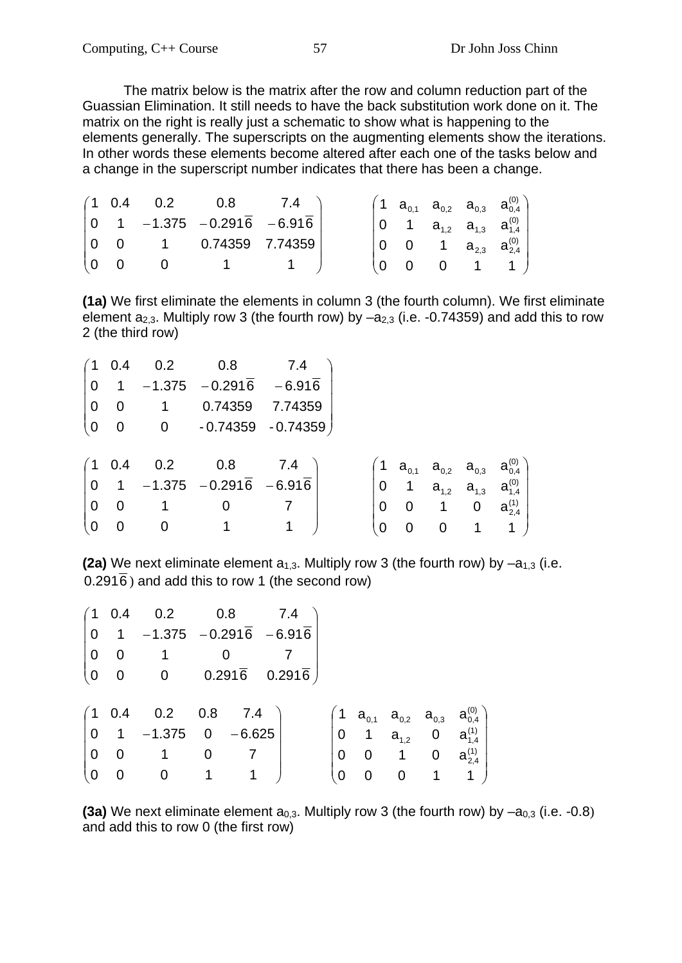The matrix below is the matrix after the row and column reduction part of the Guassian Elimination. It still needs to have the back substitution work done on it. The matrix on the right is really just a schematic to show what is happening to the elements generally. The superscripts on the augmenting elements show the iterations. In other words these elements become altered after each one of the tasks below and a change in the superscript number indicates that there has been a change.

|     |                         |                | $(1 \t0.4 \t0.2 \t0.8 \t7.4)$                                     |  |  |  | $\left( \begin{matrix} 1 & a_{_{0,1}} & a_{_{0,2}} & a_{_{0,3}} & a^{(0)}_{_{0,4}} \end{matrix} \right)$ |
|-----|-------------------------|----------------|-------------------------------------------------------------------|--|--|--|----------------------------------------------------------------------------------------------------------|
|     |                         |                | $\begin{vmatrix} 0 & 1 & -1.375 & -0.2916 & -6.916 \end{vmatrix}$ |  |  |  | $\begin{vmatrix} 0 & 1 & a_{1,2} & a_{1,3} & a_{1,4}^{(0)} \end{vmatrix}$                                |
|     | 0 0                     |                | $1$ 0.74359 7.74359                                               |  |  |  | 0 0 1 $a_{2,3}$ $a_{2,4}^{(0)}$                                                                          |
| l 0 | $\overline{\mathbf{0}}$ | $\overline{0}$ |                                                                   |  |  |  | $(0 \t0 \t0 \t1 \t1)$                                                                                    |

**(1a)** We first eliminate the elements in column 3 (the fourth column). We first eliminate element  $a_{2,3}$ . Multiply row 3 (the fourth row) by  $-a_{2,3}$  (i.e. -0.74359) and add this to row 2 (the third row)

|                | $(1 \ 0.4)$              | 0.2            | 0.8                       | 7.4 |          |                |             |                |                                                                                                                                                                                      |
|----------------|--------------------------|----------------|---------------------------|-----|----------|----------------|-------------|----------------|--------------------------------------------------------------------------------------------------------------------------------------------------------------------------------------|
| $\overline{0}$ |                          |                | $1 -1.375 -0.2916 -6.916$ |     |          |                |             |                |                                                                                                                                                                                      |
| $\vert 0$      | $\overline{\phantom{0}}$ | $\overline{1}$ | 0.74359 7.74359           |     |          |                |             |                |                                                                                                                                                                                      |
| $\overline{0}$ | $\overline{0}$           |                |                           |     |          |                |             |                |                                                                                                                                                                                      |
|                |                          |                |                           |     |          |                |             |                |                                                                                                                                                                                      |
|                | $(1 \ 0.4)$              | 0.2            | 0.8                       | 7.4 |          |                |             |                |                                                                                                                                                                                      |
| $\overline{0}$ |                          |                | $1 -1.375 -0.2916 -6.916$ |     |          |                |             |                | $\begin{pmatrix} 1 & {\bf a}_{_{0,1}} & {\bf a}_{_{0,2}} & {\bf a}_{_{0,3}} & {\bf a}_{_{0,4}} \ 0 & 1 & {\bf a}_{_{1,2}} & {\bf a}_{_{1,3}} & {\bf a}_{_{1,4}}^{(0)} \end{pmatrix}$ |
| O              | 0                        |                |                           |     | 0        | $\overline{0}$ | 1           | $\mathbf 0$    | $a_{2,4}^{(1)}$                                                                                                                                                                      |
| l 0            | 0                        | 0              |                           | 1   | $\Omega$ | 0              | $\mathbf 0$ | $\overline{1}$ |                                                                                                                                                                                      |

**(2a)** We next eliminate element  $a_{1,3}$ . Multiply row 3 (the fourth row) by  $-a_{1,3}$  (i.e.  $0.291\overline{6}$ ) and add this to row 1 (the second row)

|                |                          | $(1 \t0.4 \t0.2 \t0.8 \t7.4$                                                            |                            |              |  |                |                             |                                                                                                                       |
|----------------|--------------------------|-----------------------------------------------------------------------------------------|----------------------------|--------------|--|----------------|-----------------------------|-----------------------------------------------------------------------------------------------------------------------|
|                |                          | $\begin{bmatrix} 0 & 1 & -1.375 & -0.291\overline{6} & -6.91\overline{6} \end{bmatrix}$ |                            |              |  |                |                             |                                                                                                                       |
|                | $ 0 \t0$                 | $\overline{1}$                                                                          |                            |              |  |                |                             |                                                                                                                       |
| $ 0\rangle$    |                          | $0$ $0$ $0.291\overline{6}$ $0.291\overline{6}$                                         |                            |              |  |                |                             |                                                                                                                       |
|                |                          |                                                                                         |                            |              |  |                |                             |                                                                                                                       |
|                |                          | $(1\ 0.4\quad 0.2\quad 0.8\quad 7.4$                                                    |                            |              |  |                |                             |                                                                                                                       |
|                |                          | $\begin{vmatrix} 0 & 1 & -1.375 & 0 & -6.625 \end{vmatrix}$                             |                            |              |  |                |                             | $\begin{pmatrix} 1 & a_{0,1} & a_{0,2} & a_{0,3} & a_{0,4}^{(0)} \ 0 & 1 & a_{1,2} & 0 & a_{1,4}^{(1)} \end{pmatrix}$ |
| $\overline{0}$ | $\overline{\phantom{0}}$ | $\overline{1}$                                                                          | $\overline{0}$             |              |  |                |                             | 0 1 0 $a_{2,4}^{(1)}$                                                                                                 |
| $\overline{0}$ | $\overline{\mathbf{0}}$  | $\overline{0}$                                                                          | $\overline{\phantom{0}}$ 1 | $\mathbf{1}$ |  | $\overline{0}$ | $0\qquad 0\qquad 1\qquad 1$ |                                                                                                                       |

**(3a)** We next eliminate element  $a_{0,3}$ . Multiply row 3 (the fourth row) by  $-a_{0,3}$  (i.e.  $-0.8$ ) and add this to row 0 (the first row)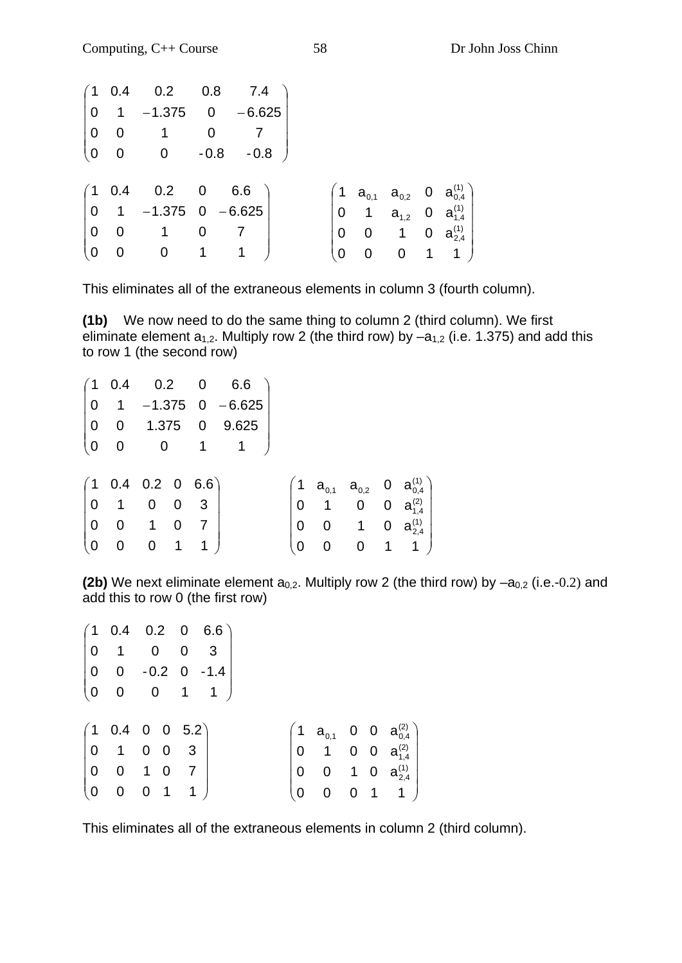|  | $(1 \t0.4 \t0.2 \t0.8 \t7.4)$                                                          |  |  |  |  |                                                                                                                                                                        |
|--|----------------------------------------------------------------------------------------|--|--|--|--|------------------------------------------------------------------------------------------------------------------------------------------------------------------------|
|  | $\begin{vmatrix} 0 & 1 & -1.375 & 0 & -6.625 \end{vmatrix}$                            |  |  |  |  |                                                                                                                                                                        |
|  | $\begin{pmatrix} 0 & 0 & 1 & 0 & 7 \\ 0 & 0 & 0 & -0.8 & -0.8 \end{pmatrix}$           |  |  |  |  |                                                                                                                                                                        |
|  |                                                                                        |  |  |  |  |                                                                                                                                                                        |
|  |                                                                                        |  |  |  |  |                                                                                                                                                                        |
|  | $\begin{pmatrix} 1 & 0.4 & 0.2 & 0 & 6.6 \\ 0 & 1 & -1.375 & 0 & -6.625 \end{pmatrix}$ |  |  |  |  |                                                                                                                                                                        |
|  |                                                                                        |  |  |  |  |                                                                                                                                                                        |
|  | $\begin{pmatrix} 0 & 0 & 1 & 0 & 7 \\ 0 & 0 & 0 & 1 & 1 \end{pmatrix}$                 |  |  |  |  | $\begin{pmatrix} 1 & a_{0,1} & a_{0,2} & 0 & a_{0,4}^{(1)} \\ 0 & 1 & a_{1,2} & 0 & a_{1,4}^{(1)} \\ 0 & 0 & 1 & 0 & a_{2,4}^{(1)} \\ 0 & 0 & 0 & 1 & 1 \end{pmatrix}$ |
|  |                                                                                        |  |  |  |  |                                                                                                                                                                        |

This eliminates all of the extraneous elements in column 3 (fourth column).

**(1b)** We now need to do the same thing to column 2 (third column). We first eliminate element  $a_{1,2}$ . Multiply row 2 (the third row) by  $-a_{1,2}$  (i.e. 1.375) and add this to row 1 (the second row)

|  |  | $(1\ 0.4\quad 0.2\quad 0\quad 6.6$<br>$\begin{vmatrix} 0 & 1 & -1.375 & 0 & -6.625 \end{vmatrix}$<br>$\begin{pmatrix} 0 & 0 & 1.375 & 0 & 9.625 \\ 0 & 0 & 0 & 1 & 1 \end{pmatrix}$<br>$\begin{pmatrix} 1 & 0.4 & 0.2 & 0 & 6.6 \\ 0 & 1 & 0 & 0 & 3 \end{pmatrix}$<br>$\begin{pmatrix} 0 & 0 & 1 & 0 & 7 \\ 0 & 0 & 0 & 1 & 1 \end{pmatrix}$ |  |  | $\begin{pmatrix} 1 & a_{0,1} & a_{0,2} & 0 & a_{0,4}^{(1)} \\ 0 & 1 & 0 & 0 & a_{1,4}^{(2)} \\ 0 & 0 & 1 & 0 & a_{2,4}^{(1)} \\ 0 & 0 & 0 & 1 & 1 \end{pmatrix}$ |
|--|--|-----------------------------------------------------------------------------------------------------------------------------------------------------------------------------------------------------------------------------------------------------------------------------------------------------------------------------------------------|--|--|------------------------------------------------------------------------------------------------------------------------------------------------------------------|

**(2b)** We next eliminate element  $a_{0,2}$ . Multiply row 2 (the third row) by  $-a_{0,2}$  (i.e.-0.2) and add this to row 0 (the first row)

|                                                                                                                      |  | $\begin{pmatrix} 1 & 0.4 & 0.2 & 0 & 6.6 \\ 0 & 1 & 0 & 0 & 3 \end{pmatrix}$ |  |  |  |                                                                                                                                                            |
|----------------------------------------------------------------------------------------------------------------------|--|------------------------------------------------------------------------------|--|--|--|------------------------------------------------------------------------------------------------------------------------------------------------------------|
|                                                                                                                      |  | $\begin{pmatrix} 0 & 0 & -0.2 & 0 & -1.4 \\ 0 & 0 & 0 & 1 & 1 \end{pmatrix}$ |  |  |  |                                                                                                                                                            |
|                                                                                                                      |  |                                                                              |  |  |  |                                                                                                                                                            |
|                                                                                                                      |  |                                                                              |  |  |  |                                                                                                                                                            |
|                                                                                                                      |  |                                                                              |  |  |  |                                                                                                                                                            |
|                                                                                                                      |  |                                                                              |  |  |  |                                                                                                                                                            |
|                                                                                                                      |  |                                                                              |  |  |  |                                                                                                                                                            |
| $\begin{pmatrix} 1 & 0.4 & 0 & 0 & 5.2 \\ 0 & 1 & 0 & 0 & 3 \\ 0 & 0 & 1 & 0 & 7 \\ 0 & 0 & 0 & 1 & 1 \end{pmatrix}$ |  |                                                                              |  |  |  | $\begin{pmatrix} 1 & a_{0,1} & 0 & 0 & a_{0,4}^{(2)} \\ 0 & 1 & 0 & 0 & a_{1,4}^{(2)} \\ 0 & 0 & 1 & 0 & a_{2,4}^{(1)} \\ 0 & 0 & 0 & 1 & 1 \end{pmatrix}$ |

This eliminates all of the extraneous elements in column 2 (third column).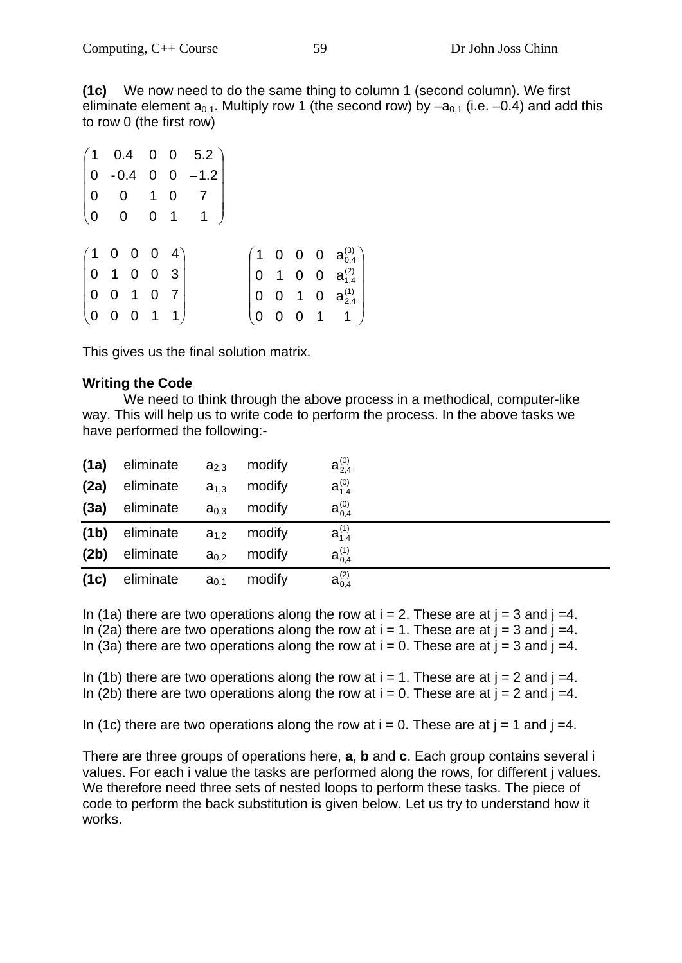**(1c)** We now need to do the same thing to column 1 (second column). We first eliminate element  $a_{0,1}$ . Multiply row 1 (the second row) by  $-a_{0,1}$  (i.e.  $-0.4$ ) and add this to row 0 (the first row)

|                                                                                                                  |  |  | $\begin{pmatrix} 1 & 0.4 & 0 & 0 & 5.2 \\ 0 & -0.4 & 0 & 0 & -1.2 \\ 0 & 0 & 1 & 0 & 7 \\ 0 & 0 & 0 & 1 & 1 \end{pmatrix}$ |  |  |                                                                                                                                                      |
|------------------------------------------------------------------------------------------------------------------|--|--|----------------------------------------------------------------------------------------------------------------------------|--|--|------------------------------------------------------------------------------------------------------------------------------------------------------|
|                                                                                                                  |  |  |                                                                                                                            |  |  |                                                                                                                                                      |
|                                                                                                                  |  |  |                                                                                                                            |  |  |                                                                                                                                                      |
|                                                                                                                  |  |  |                                                                                                                            |  |  |                                                                                                                                                      |
|                                                                                                                  |  |  |                                                                                                                            |  |  |                                                                                                                                                      |
| $\begin{pmatrix} 1 & 0 & 0 & 0 & 4 \\ 0 & 1 & 0 & 0 & 3 \\ 0 & 0 & 1 & 0 & 7 \\ 0 & 0 & 0 & 1 & 1 \end{pmatrix}$ |  |  |                                                                                                                            |  |  | $\begin{pmatrix} 1 & 0 & 0 & 0 & a^{(3)}_{0,4} \\ 0 & 1 & 0 & 0 & a^{(2)}_{1,4} \\ 0 & 0 & 1 & 0 & a^{(1)}_{2,4} \\ 0 & 0 & 0 & 1 & 1 \end{pmatrix}$ |

This gives us the final solution matrix.

#### **Writing the Code**

 We need to think through the above process in a methodical, computer-like way. This will help us to write code to perform the process. In the above tasks we have performed the following:-

| (1a)              | eliminate | $a_{2,3}$        | modify | $a_{2.4}^{(0)}$ |
|-------------------|-----------|------------------|--------|-----------------|
| (2a)              | eliminate | $a_{1,3}$        | modify | $a_{1.4}^{(0)}$ |
| (3a)              | eliminate | $a_{0,3}$        | modify | $a_{0.4}^{(0)}$ |
| (1 <sub>b</sub> ) | eliminate | $a_{1,2}$        | modify | $a_{1,4}^{(1)}$ |
| (2b)              | eliminate | $a_{0.2}$        | modify | $a_{0.4}^{(1)}$ |
| (1c)              | eliminate | a <sub>0,1</sub> | modify | $a_{0,4}^{(2)}$ |

In (1a) there are two operations along the row at  $i = 2$ . These are at  $j = 3$  and  $j = 4$ . In (2a) there are two operations along the row at  $i = 1$ . These are at  $j = 3$  and  $j = 4$ . In (3a) there are two operations along the row at  $i = 0$ . These are at  $j = 3$  and  $j = 4$ .

In (1b) there are two operations along the row at  $i = 1$ . These are at  $j = 2$  and  $j = 4$ . In (2b) there are two operations along the row at  $i = 0$ . These are at  $j = 2$  and  $j = 4$ .

In (1c) there are two operations along the row at  $i = 0$ . These are at  $j = 1$  and  $j = 4$ .

There are three groups of operations here, **a**, **b** and **c**. Each group contains several i values. For each i value the tasks are performed along the rows, for different j values. We therefore need three sets of nested loops to perform these tasks. The piece of code to perform the back substitution is given below. Let us try to understand how it works.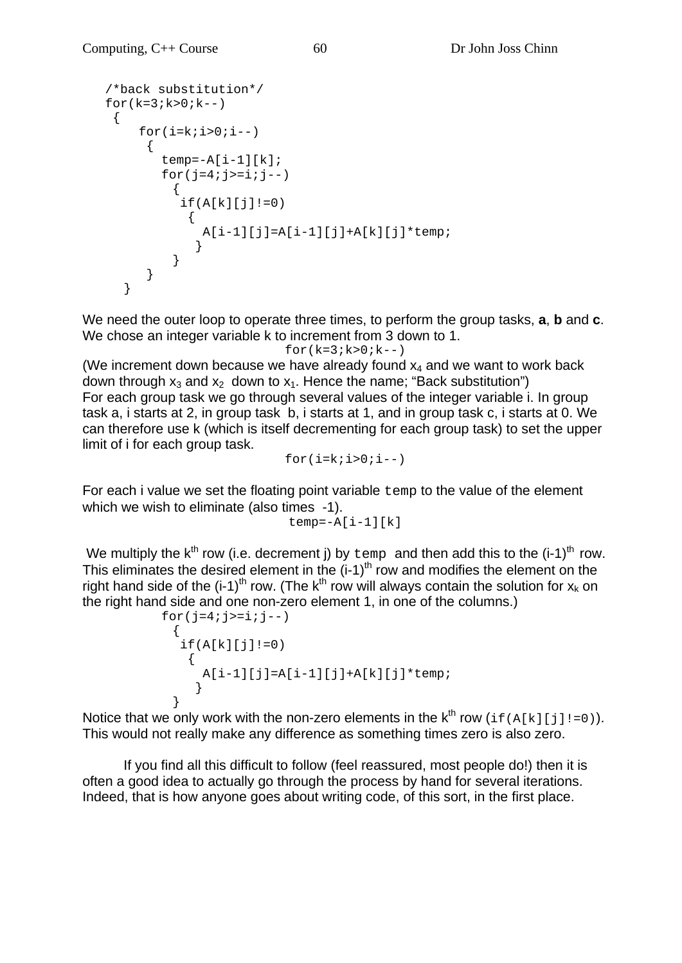```
 /*back substitution*/ 
  for(k=3; k>0; k--) { 
      for(i=k;i>0;i--)\{temp=-A[i-1][k];for(j=4; j>=i; j--)
           { 
          if(A[k][j]:=0)\{A[i-1][j]=A[i-1][j]+A[k][j]*temp; } 
 } 
        } 
     }
```
We need the outer loop to operate three times, to perform the group tasks, **a**, **b** and **c**. We chose an integer variable k to increment from 3 down to 1.

```
for(k=3; k>0; k--)
```
(We increment down because we have already found  $x_4$  and we want to work back down through  $x_3$  and  $x_2$  down to  $x_1$ . Hence the name; "Back substitution") For each group task we go through several values of the integer variable i. In group task a, i starts at 2, in group task b, i starts at 1, and in group task c, i starts at 0. We can therefore use k (which is itself decrementing for each group task) to set the upper limit of i for each group task.

 $for(i=k;i>0;i--)$ 

For each i value we set the floating point variable temp to the value of the element which we wish to eliminate (also times -1).

```
temp=-A[i-1][k]
```
We multiply the  $k^{th}$  row (i.e. decrement j) by  $t_{\text{emp}}$  and then add this to the (i-1)<sup>th</sup> row. This eliminates the desired element in the  $(i-1)^{th}$  row and modifies the element on the right hand side of the  $(i-1)^{th}$  row. (The k<sup>th</sup> row will always contain the solution for  $x_k$  on the right hand side and one non-zero element 1, in one of the columns.)

```
for(j=4; j>=i; j=-)
\{if(A[k][j]:=0)\{A[i-1][j]=A[i-1][j]+A[k][j]*temp; } 
 }
```
Notice that we only work with the non-zero elements in the  $k^{th}$  row (if(A[k][j]!=0)). This would not really make any difference as something times zero is also zero.

 If you find all this difficult to follow (feel reassured, most people do!) then it is often a good idea to actually go through the process by hand for several iterations. Indeed, that is how anyone goes about writing code, of this sort, in the first place.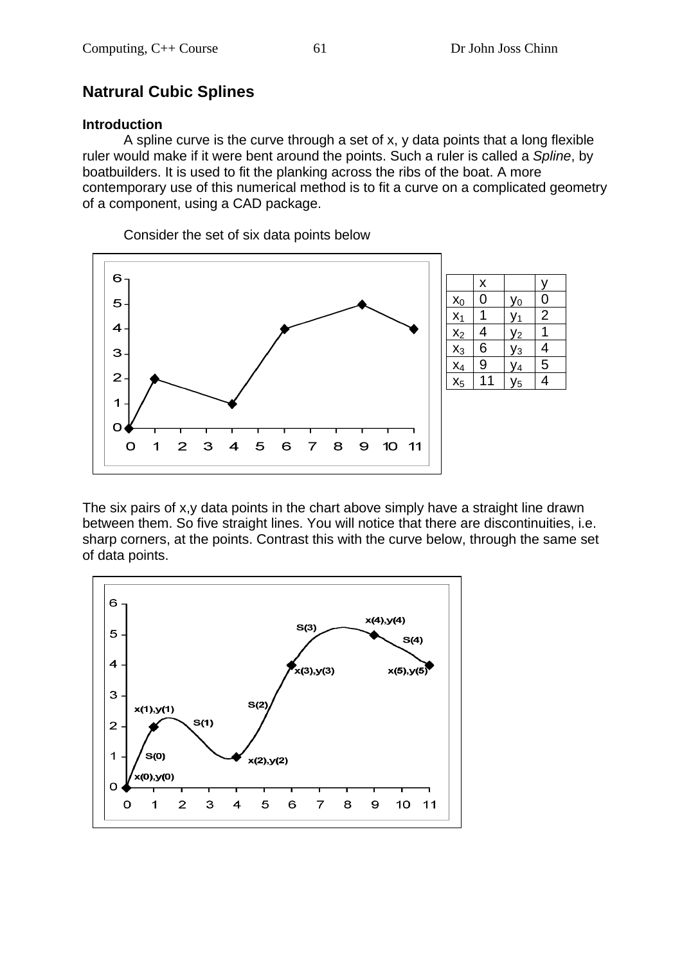# **Natrural Cubic Splines**

#### **Introduction**

 A spline curve is the curve through a set of x, y data points that a long flexible ruler would make if it were bent around the points. Such a ruler is called a *Spline*, by boatbuilders. It is used to fit the planking across the ribs of the boat. A more contemporary use of this numerical method is to fit a curve on a complicated geometry of a component, using a CAD package.

6 x y  $x_0$  0  $y_0$  0 5  $x_1$  | 1 |  $y_1$  | 2  $\overline{4}$  $x_2$  4  $y_2$  1  $x_3$  6  $y_3$  4 3  $x_4$  9  $y_4$  5  $\overline{2}$  $x_5$  11  $y_5$  4  $\overline{\mathbf{1}}$  $\overline{O}$  $\mathbf O$ 1  $\mathbf{z}$ 3  $\overline{\mathbf{A}}$ 5 6  $\overline{7}$ 8  $\Theta$ 10 11

Consider the set of six data points below

The six pairs of x,y data points in the chart above simply have a straight line drawn between them. So five straight lines. You will notice that there are discontinuities, i.e. sharp corners, at the points. Contrast this with the curve below, through the same set of data points.

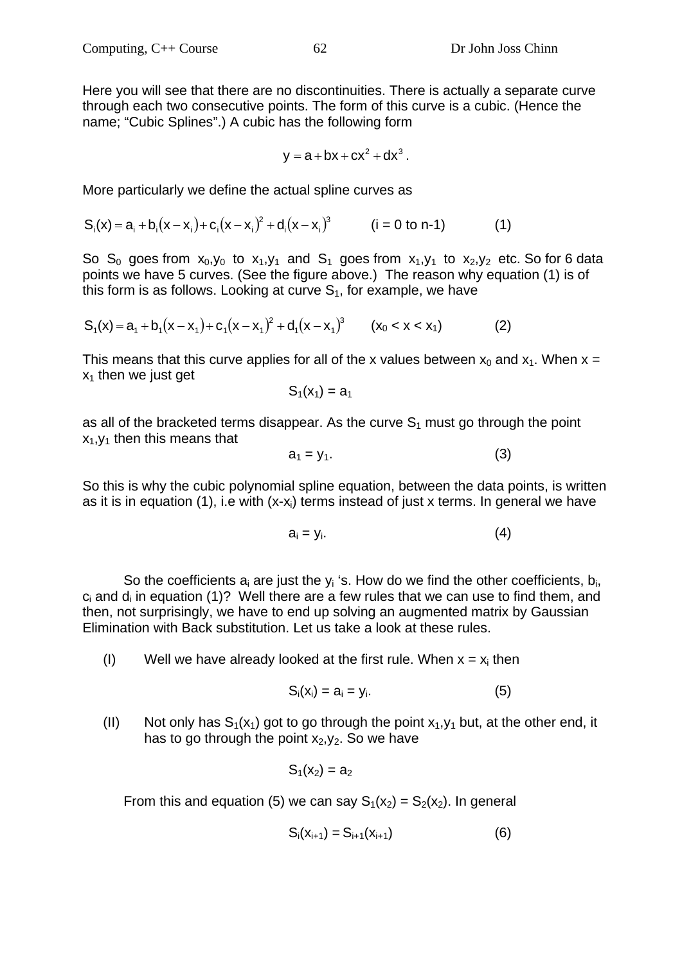Here you will see that there are no discontinuities. There is actually a separate curve through each two consecutive points. The form of this curve is a cubic. (Hence the name; "Cubic Splines".) A cubic has the following form

$$
y = a + bx + cx2 + dx3.
$$

More particularly we define the actual spline curves as

$$
S_i(x) = a_i + b_i(x - x_i) + c_i(x - x_i)^2 + d_i(x - x_i)^3
$$
 (i = 0 to n-1) (1)

So S<sub>0</sub> goes from  $x_0, y_0$  to  $x_1, y_1$  and S<sub>1</sub> goes from  $x_1, y_1$  to  $x_2, y_2$  etc. So for 6 data points we have 5 curves. (See the figure above.) The reason why equation (1) is of this form is as follows. Looking at curve  $S<sub>1</sub>$ , for example, we have

$$
S_1(x) = a_1 + b_1(x - x_1) + c_1(x - x_1)^2 + d_1(x - x_1)^3 \qquad (x_0 < x < x_1)
$$
 (2)

This means that this curve applies for all of the x values between  $x_0$  and  $x_1$ . When  $x =$  $x_1$  then we just get

$$
S_1(x_1) = a_1
$$

as all of the bracketed terms disappear. As the curve  $S_1$  must go through the point  $x_1, y_1$  then this means that

$$
a_1 = y_1. \tag{3}
$$

So this is why the cubic polynomial spline equation, between the data points, is written as it is in equation (1), i.e with  $(x-x<sub>i</sub>)$  terms instead of just x terms. In general we have

$$
a_i = y_i. \tag{4}
$$

So the coefficients  $a_i$  are just the  $y_i$  's. How do we find the other coefficients,  $b_i$ ,  $c_i$  and  $d_i$  in equation (1)? Well there are a few rules that we can use to find them, and then, not surprisingly, we have to end up solving an augmented matrix by Gaussian Elimination with Back substitution. Let us take a look at these rules.

(I) Well we have already looked at the first rule. When  $x = x_i$  then

$$
S_i(x_i) = a_i = y_i. \tag{5}
$$

(II) Not only has  $S_1(x_1)$  got to go through the point  $x_1, y_1$  but, at the other end, it has to go through the point  $x_2, y_2$ . So we have

$$
S_1(x_2)=a_2
$$

From this and equation (5) we can say  $S_1(x_2) = S_2(x_2)$ . In general

$$
S_i(x_{i+1}) = S_{i+1}(x_{i+1})
$$
 (6)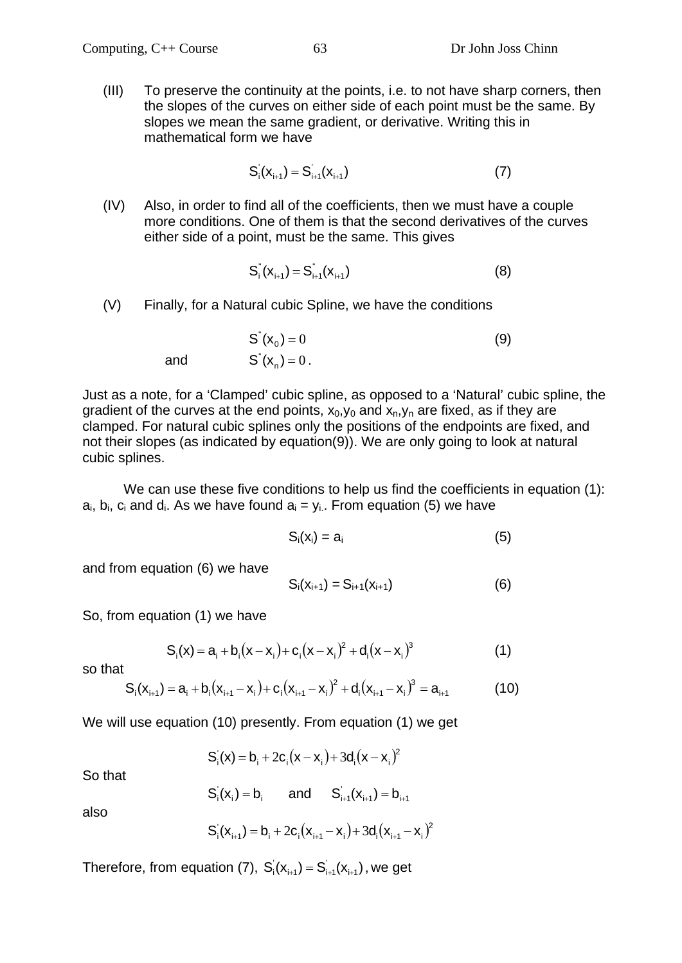(III) To preserve the continuity at the points, i.e. to not have sharp corners, then the slopes of the curves on either side of each point must be the same. By slopes we mean the same gradient, or derivative. Writing this in mathematical form we have

$$
S'_{i}(x_{i+1}) = S'_{i+1}(x_{i+1})
$$
 (7)

(IV) Also, in order to find all of the coefficients, then we must have a couple more conditions. One of them is that the second derivatives of the curves either side of a point, must be the same. This gives

$$
S_i^{\prime\prime}(X_{i+1}) = S_{i+1}^{\prime\prime}(X_{i+1})
$$
\n(8)

(V) Finally, for a Natural cubic Spline, we have the conditions

 $S'(x_0) = 0$  (9) and  $S'(x_n) = 0$ .

Just as a note, for a 'Clamped' cubic spline, as opposed to a 'Natural' cubic spline, the gradient of the curves at the end points,  $x_0, y_0$  and  $x_n, y_n$  are fixed, as if they are clamped. For natural cubic splines only the positions of the endpoints are fixed, and not their slopes (as indicated by equation(9)). We are only going to look at natural cubic splines.

We can use these five conditions to help us find the coefficients in equation (1):  $a_i$ ,  $b_i$ ,  $c_i$  and  $d_i$ . As we have found  $a_i = y_i$ . From equation (5) we have

$$
S_i(x_i) = a_i \tag{5}
$$

and from equation (6) we have

$$
S_i(x_{i+1}) = S_{i+1}(x_{i+1})
$$
 (6)

So, from equation (1) we have

$$
S_i(x) = a_i + b_i(x - x_i) + c_i(x - x_i)^2 + d_i(x - x_i)^3
$$
\n(1)

so that

$$
S_i(x_{i+1}) = a_i + b_i(x_{i+1} - x_i) + c_i(x_{i+1} - x_i)^2 + d_i(x_{i+1} - x_i)^3 = a_{i+1}
$$
 (10)

We will use equation (10) presently. From equation (1) we get

$$
\mathbf{S}_{i}^{\prime}(\mathbf{x}) = \mathbf{b}_{i} + 2\mathbf{c}_{i}(\mathbf{x} - \mathbf{x}_{i}) + 3\mathbf{d}_{i}(\mathbf{x} - \mathbf{x}_{i})^{2}
$$

So that

 $S_i(x_i) = b_i$  and  $S_{i+1}(x_{i+1}) = b_{i+1}$ 

also

$$
S_{i}^{'}(x_{i+1}) = b_{i} + 2c_{i}(x_{i+1} - x_{i}) + 3d_{i}(x_{i+1} - x_{i})^{2}
$$

Therefore, from equation (7),  $S_i(x_{i+1}) = S_{i+1}(x_{i+1})$ , we get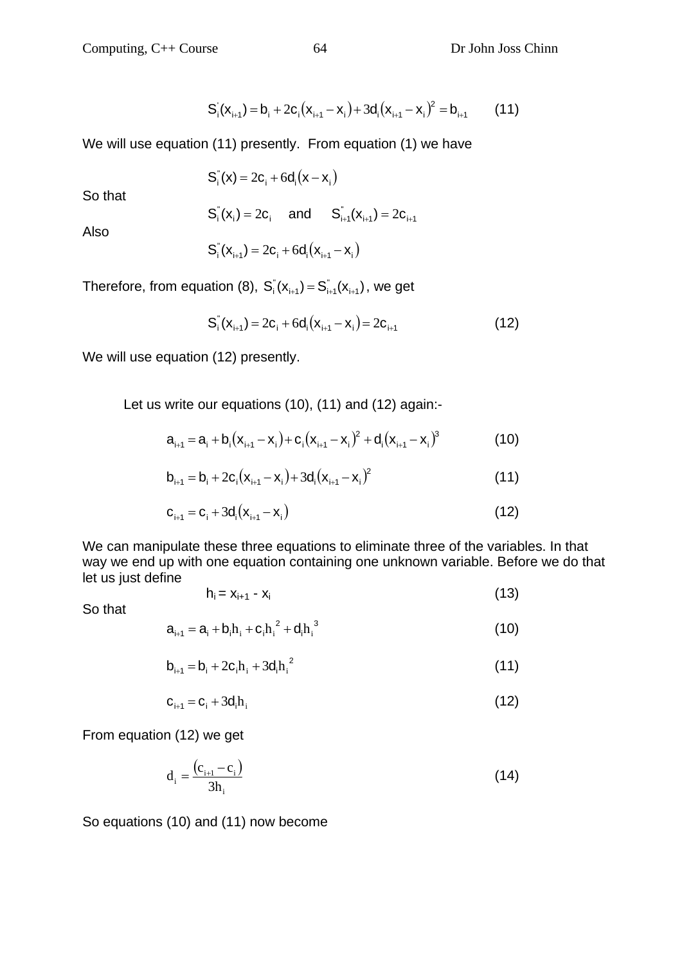$$
S_i(x_{i+1}) = b_i + 2c_i(x_{i+1} - x_i) + 3d_i(x_{i+1} - x_i)^2 = b_{i+1}
$$
 (11)

We will use equation (11) presently. From equation (1) we have

$$
S_i^{\prime\prime}(x) = 2c_i + 6d_i(x - x_i)
$$

So that

$$
S_i^{\dagger}(\mathbf{x}_i) = 2c_i
$$
 and  $S_{i+1}^{\dagger}(\mathbf{x}_{i+1}) = 2c_{i+1}$ 

Also

$$
S_i^{\prime}(\mathbf{x}_{i+1}) = 2\mathbf{c}_i + 6\mathbf{d}_i(\mathbf{x}_{i+1} - \mathbf{x}_i)
$$

Therefore, from equation (8),  $S_i(x_{i+1}) = S_{i+1}^*(x_{i+1})$ , we get

$$
S_i^{\dagger}(\mathbf{x}_{i+1}) = 2\mathbf{c}_i + 6\mathbf{d}_i(\mathbf{x}_{i+1} - \mathbf{x}_i) = 2\mathbf{c}_{i+1}
$$
 (12)

We will use equation (12) presently.

Let us write our equations (10), (11) and (12) again:-

$$
a_{i+1} = a_i + b_i(x_{i+1} - x_i) + c_i(x_{i+1} - x_i)^2 + d_i(x_{i+1} - x_i)^3
$$
 (10)

$$
b_{i+1} = b_i + 2c_i(x_{i+1} - x_i) + 3d_i(x_{i+1} - x_i)^2
$$
\n(11)

$$
c_{i+1} = c_i + 3d_i(x_{i+1} - x_i)
$$
 (12)

We can manipulate these three equations to eliminate three of the variables. In that way we end up with one equation containing one unknown variable. Before we do that let us just define

$$
h_i = x_{i+1} - x_i \tag{13}
$$

So that

$$
a_{i+1} = a_i + b_i h_i + c_i h_i^2 + d_i h_i^3
$$
 (10)

$$
b_{i+1} = b_i + 2c_i h_i + 3d_i h_i^2
$$
 (11)

$$
\mathbf{c}_{i+1} = \mathbf{c}_i + 3\mathbf{d}_i \mathbf{h}_i \tag{12}
$$

From equation (12) we get

$$
d_i = \frac{(c_{i+1} - c_i)}{3h_i}
$$
 (14)

So equations (10) and (11) now become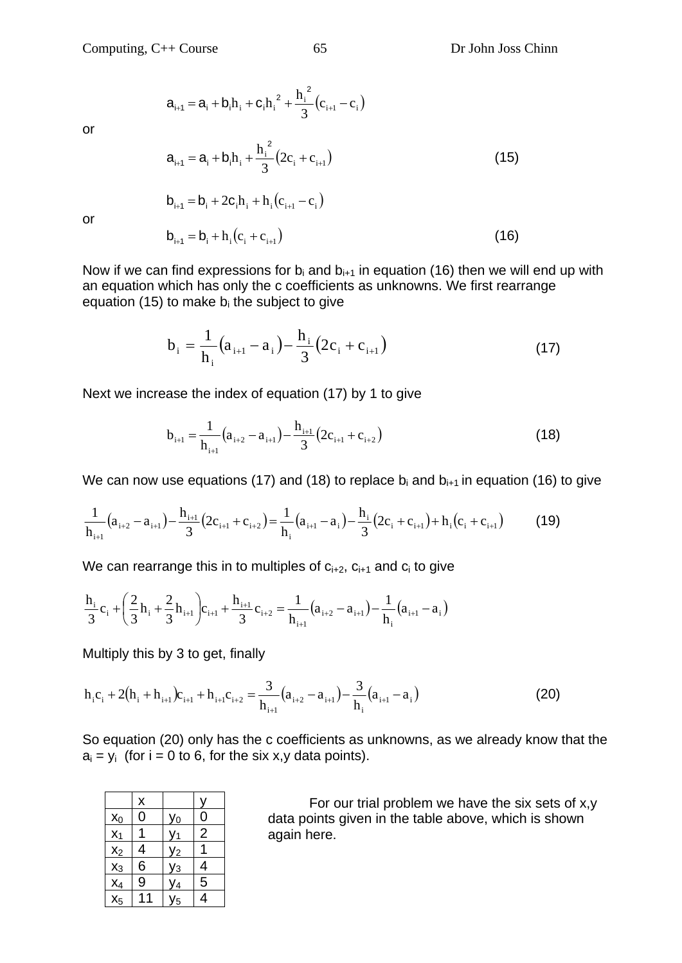$\mathbf{c}_i + \mathbf{c}_i \mathbf{h}_i^2 + \frac{\mathbf{n}_i}{3} (\mathbf{c}_{i+1} - \mathbf{c}_i)$ 

 $h_{+1} = a_i + b_i h_i + c_i h_i^2 + \frac{h_i^2}{2} (c_{i+1} - c_i)$  $a_{i+1} = a_i + b_i h_i + c_i h_i^2 + \frac{h_i^2}{2} (c_{i+1} - c_i)$ 

 $b_{i+1} = b_i + 2c_i h_i + h_i (c_{i+1} - c_i)$ 

or

$$
a_{i+1} = a_i + b_i h_i + \frac{h_i^2}{3} (2c_i + c_{i+1})
$$
 (15)

or

or  

$$
b_{i+1} = b_i + h_i(c_i + c_{i+1})
$$
 (16)

Now if we can find expressions for  $b_i$  and  $b_{i+1}$  in equation (16) then we will end up with an equation which has only the c coefficients as unknowns. We first rearrange equation (15) to make  $b_i$  the subject to give

$$
b_{i} = \frac{1}{h_{i}}(a_{i+1} - a_{i}) - \frac{h_{i}}{3}(2c_{i} + c_{i+1})
$$
\n(17)

Next we increase the index of equation (17) by 1 to give

$$
b_{i+1} = \frac{1}{h_{i+1}} (a_{i+2} - a_{i+1}) - \frac{h_{i+1}}{3} (2c_{i+1} + c_{i+2})
$$
\n(18)

We can now use equations (17) and (18) to replace  $b_i$  and  $b_{i+1}$  in equation (16) to give

$$
\frac{1}{h_{i+1}}(a_{i+2}-a_{i+1}) - \frac{h_{i+1}}{3}(2c_{i+1}+c_{i+2}) = \frac{1}{h_i}(a_{i+1}-a_i) - \frac{h_i}{3}(2c_i+c_{i+1}) + h_i(c_i+c_{i+1})
$$
(19)

We can rearrange this in to multiples of  $c_{i+2}$ ,  $c_{i+1}$  and  $c_i$  to give

$$
\frac{h_i}{3}c_i + \left(\frac{2}{3}h_i + \frac{2}{3}h_{i+1}\right)c_{i+1} + \frac{h_{i+1}}{3}c_{i+2} = \frac{1}{h_{i+1}}(a_{i+2} - a_{i+1}) - \frac{1}{h_i}(a_{i+1} - a_i)
$$

Multiply this by 3 to get, finally

$$
h_i c_i + 2(h_i + h_{i+1})c_{i+1} + h_{i+1}c_{i+2} = \frac{3}{h_{i+1}}(a_{i+2} - a_{i+1}) - \frac{3}{h_i}(a_{i+1} - a_i)
$$
(20)

So equation (20) only has the c coefficients as unknowns, as we already know that the  $a_i = y_i$  (for  $i = 0$  to 6, for the six x, y data points).

|                                     | X              |                      |                |
|-------------------------------------|----------------|----------------------|----------------|
|                                     | 0              | Уo                   | 0              |
| $\frac{x_0}{x_1}$                   |                | ′1                   | $\overline{2}$ |
| $x_2$                               | 4              | y2                   |                |
| $\overline{x_3}$                    | 6              | <u>y<sub>3</sub></u> | 4              |
|                                     | $\overline{9}$ | У4                   | 5              |
| $\frac{\mathsf{x}_4}{\mathsf{x}_5}$ |                | 5                    | 4              |

 For our trial problem we have the six sets of x,y data points given in the table above, which is shown again here.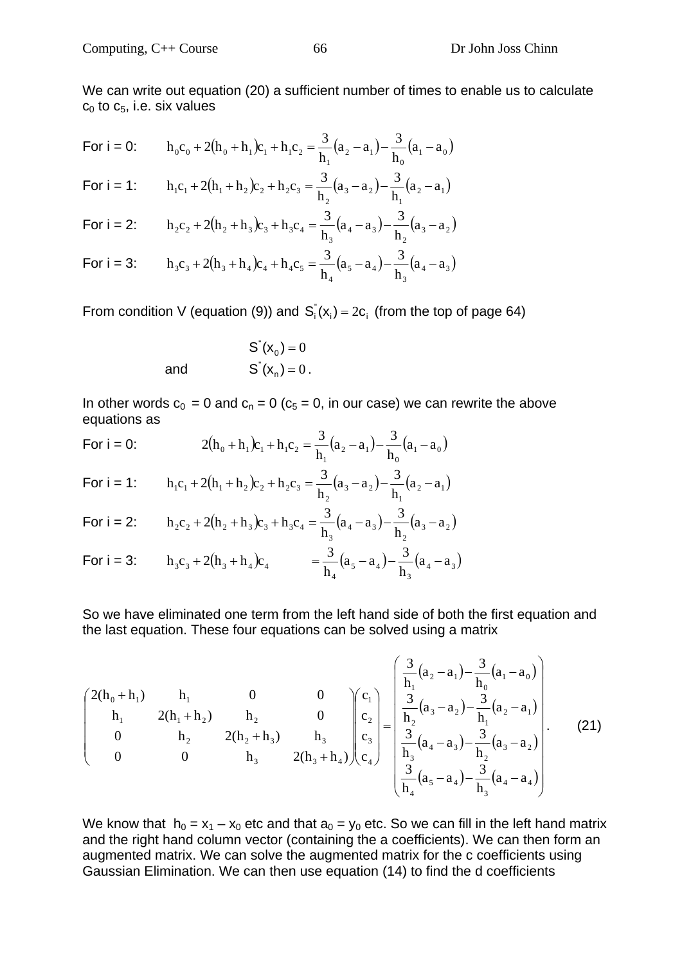For i = 0: 
$$
h_0 c_0 + 2(h_0 + h_1)c_1 + h_1 c_2 = \frac{3}{h_1}(a_2 - a_1) - \frac{3}{h_0}(a_1 - a_0)
$$

For 
$$
i = 1
$$
:  $h_1c_1 + 2(h_1 + h_2)c_2 + h_2c_3 = \frac{3}{h_2}(a_3 - a_2) - \frac{3}{h_1}(a_2 - a_1)$ 

For 
$$
i = 2
$$
:  
\n
$$
h_2c_2 + 2(h_2 + h_3)c_3 + h_3c_4 = \frac{3}{h_3}(a_4 - a_3) - \frac{3}{h_2}(a_3 - a_2)
$$

For 
$$
i = 3
$$
:  
\n
$$
h_3c_3 + 2(h_3 + h_4)c_4 + h_4c_5 = \frac{3}{h_4}(a_5 - a_4) - \frac{3}{h_3}(a_4 - a_3)
$$

From condition V (equation (9)) and  $S_i(x_i) = 2c_i$  (from the top of page 64)

 $S'(x_0) = 0$ and  $S'(x_n) = 0$ .

In other words  $c_0 = 0$  and  $c_n = 0$  ( $c_5 = 0$ , in our case) we can rewrite the above equations as

For i = 0: 
$$
2(h_0 + h_1)c_1 + h_1c_2 = \frac{3}{h_1}(a_2 - a_1) - \frac{3}{h_0}(a_1 - a_0)
$$

For 
$$
i = 1
$$
:  $h_1c_1 + 2(h_1 + h_2)c_2 + h_2c_3 = \frac{3}{h_2}(a_3 - a_2) - \frac{3}{h_1}(a_2 - a_1)$ 

For i = 2: 
$$
h_2c_2 + 2(h_2 + h_3)c_3 + h_3c_4 = \frac{3}{h_3}(a_4 - a_3) - \frac{3}{h_2}(a_3 - a_2)
$$

For 
$$
i = 3
$$
:  $h_3 c_3 + 2(h_3 + h_4)c_4 = \frac{3}{h_4}(a_5 - a_4) - \frac{3}{h_3}(a_4 - a_3)$ 

So we have eliminated one term from the left hand side of both the first equation and the last equation. These four equations can be solved using a matrix

$$
\begin{pmatrix}\n2(h_0 + h_1) & h_1 & 0 & 0 \\
h_1 & 2(h_1 + h_2) & h_2 & 0 \\
0 & h_2 & 2(h_2 + h_3) & h_3 \\
0 & 0 & h_3 & 2(h_3 + h_4)\n\end{pmatrix}\n\begin{pmatrix}\nc_1 \\
c_2 \\
c_3 \\
c_4\n\end{pmatrix} = \begin{pmatrix}\n\frac{3}{h_1}(a_2 - a_1) - \frac{3}{h_0}(a_1 - a_0) \\
\frac{3}{h_2}(a_3 - a_2) - \frac{3}{h_1}(a_2 - a_1) \\
\frac{3}{h_3}(a_4 - a_3) - \frac{3}{h_2}(a_3 - a_2) \\
\frac{3}{h_4}(a_5 - a_4) - \frac{3}{h_3}(a_4 - a_4)\n\end{pmatrix}.
$$
\n(21)

We know that  $h_0 = x_1 - x_0$  etc and that  $a_0 = y_0$  etc. So we can fill in the left hand matrix and the right hand column vector (containing the a coefficients). We can then form an augmented matrix. We can solve the augmented matrix for the c coefficients using Gaussian Elimination. We can then use equation (14) to find the d coefficients